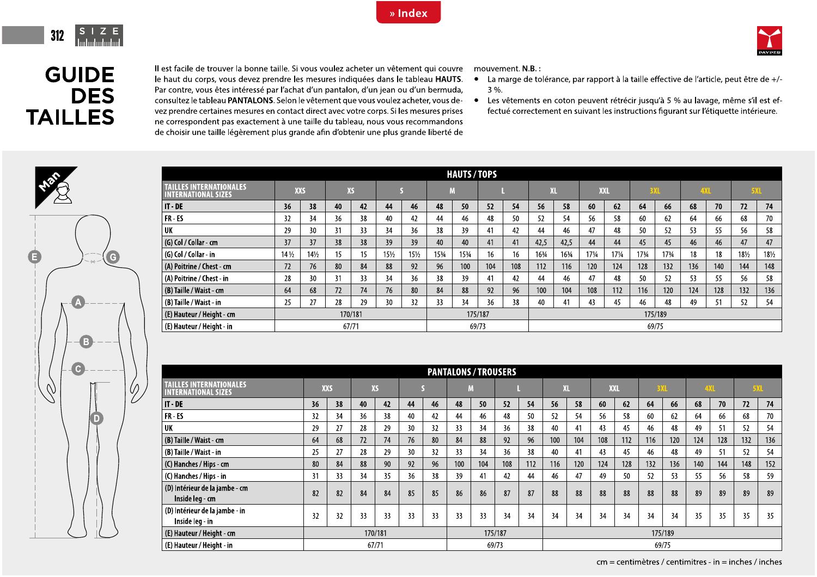» Index



## **GUIDE DES TAILLES**

 $312$ 

 $\begin{array}{c} \mathsf{S} \ \mathsf{I} \ \mathsf{Z} \ \mathsf{E} \\ \hline \end{array}$ 

U)

Il est facile de trouver la bonne taille. Si vous voulez acheter un vêtement qui couvre mouvement. N.B.: le haut du corps, vous devez prendre les mesures indiquées dans le tableau HAUTS. Par contre, vous êtes intéressé par l'achat d'un pantalon, d'un jean ou d'un bermuda, consultez le tableau PANTALONS. Selon le vêtement que vous voulez acheter, vous devez prendre certaines mesures en contact direct avec votre corps. Si les mesures prises ne correspondent pas exactement à une taille du tableau, nous vous recommandons de choisir une taille légèrement plus grande afin d'obtenir une plus grande liberté de

- La marge de tolérance, par rapport à la taille effective de l'article, peut être de +/- $\bullet$ 3 %.
- Les vêtements en coton peuvent rétrécir jusqu'à 5 % au lavage, même s'il est ef- $\bullet$ fectué correctement en suivant les instructions figurant sur l'étiquette intérieure.

|                                                              |                 |                 |           |    |                 |                 |       | <b>HAUTS/TOPS</b> |         |     |       |       |                 |                 |                                |       |     |     |       |       |
|--------------------------------------------------------------|-----------------|-----------------|-----------|----|-----------------|-----------------|-------|-------------------|---------|-----|-------|-------|-----------------|-----------------|--------------------------------|-------|-----|-----|-------|-------|
| <b>TAILLES INTERNATIONALES</b><br><b>INTERNATIONAL SIZES</b> |                 | <b>XXS</b>      | <b>XS</b> |    |                 |                 |       | M                 |         |     | XI.   |       | XX              |                 | <b>3XL</b>                     |       |     |     | - 5XL |       |
| IT DE                                                        | 36              | 38              | 40        | 42 | 44              | 46              | 48    | 50                | 52      | 54  | 56    | 58    | 60              | 62              | 64                             | 66    | 68  | 70  | 72    | 74    |
| FR-ES                                                        | 32              | 34              | 36        | 38 | 40              | 42              | 44    | 46                | 48      | 50  | 52    | 54    | 56              | 58              | 60                             | 62    | 64  | 66  | 68    | 70    |
| UK                                                           | 29              | 30              | 31        | 33 | 34              | 36              | 38    | 39                | 41      | 42  | 44    | 46    | 47              | 48              | 50                             | 52    | 53  | 55  | 56    | 58    |
| (G) Col / Collar - cm                                        | 37              | 37              | 38        | 38 | 39              | 39              | 40    | 40                | 41      | 41  | 42,5  | 42,5  | 44              | 44              | 45                             | 45    | 46  | 46  | 47    | 47    |
| (G) Col / Collar - in                                        | $14\frac{1}{2}$ | $14\frac{1}{2}$ | 15        | 15 | $15\frac{1}{2}$ | $15\frac{1}{2}$ | 153⁄4 | $15\frac{3}{4}$   | 16      | 16  | 163/4 | 163/4 | $17\frac{1}{4}$ | $17\frac{1}{4}$ | 17 <sup>3</sup> / <sub>4</sub> | 173⁄4 | 18  | 18  | 181/2 | 181/2 |
| (A) Poitrine / Chest - cm                                    | 72              | 76              | 80        | 84 | 88              | 92              | 96    | 100               | 104     | 108 | 112   | 116   | 120             | 124             | 128                            | 132   | 136 | 140 | 144   | 148   |
| (A) Poitrine / Chest - in                                    | 28              | 30              | 31        | 33 | 34              | 36              | 38    | 39                | 41      | 42  | 44    | 46    | 47              | 48              | 50                             | 52    | 53  | 55  | 56    | 58    |
| (B) Taille / Waist - cm                                      | 64              | 68              | 72        | 74 | 76              | 80              | 84    | 88                | 92      | 96  | 100   | 104   | 108             | 112             | 116                            | 120   | 124 | 128 | 132   | 136   |
| (B) Taille / Waist - in                                      | 25              | 27              | 28        | 29 | 30              | 32              | 33    | 34                | 36      | 38  | 40    | 41    | 43              | 45              | 46                             | 48    | 49  | 51  | 52    | 54    |
| (E) Hauteur / Height - cm                                    | 170/181         |                 |           |    | 175/187         |                 |       |                   | 175/189 |     |       |       |                 |                 |                                |       |     |     |       |       |
| (E) Hauteur / Height - in                                    | 67/71           |                 |           |    | 69/73           |                 |       |                   | 69/75   |     |       |       |                 |                 |                                |       |     |     |       |       |

| <b>PANTALONS / TROUSERS</b>                                  |         |            |    |           |       |         |     |     |       |         |     |     |     |            |     |            |     |     |     |            |  |
|--------------------------------------------------------------|---------|------------|----|-----------|-------|---------|-----|-----|-------|---------|-----|-----|-----|------------|-----|------------|-----|-----|-----|------------|--|
| <b>TAILLES INTERNATIONALES</b><br><b>INTERNATIONAL SIZES</b> |         | <b>XXS</b> |    | <b>XS</b> |       |         |     | M   |       |         |     | XТ. |     | <b>XXL</b> |     | <b>3XL</b> |     |     |     | <b>5XL</b> |  |
| $IT - DE$                                                    | 36      | 38         | 40 | 42        | 44    | 46      | 48  | 50  | 52    | 54      | 56  | 58  | 60  | 62         | 64  | 66         | 68  | 70  | 72  | 74         |  |
| $FR - ES$                                                    | 32      | 34         | 36 | 38        | 40    | 42      | 44  | 46  | 48    | 50      | 52  | 54  | 56  | 58         | 60  | 62         | 64  | 66  | 68  | 70         |  |
| UK                                                           | 29      | 27         | 28 | 29        | 30    | 32      | 33  | 34  | 36    | 38      | 40  | 41  | 43  | 45         | 46  | 48         | 49  | 51  | 52  | 54         |  |
| (B) Taille / Waist - cm                                      | 64      | 68         | 72 | 74        | 76    | 80      | 84  | 88  | 92    | 96      | 100 | 104 | 108 | 112        | 116 | 120        | 124 | 128 | 132 | 136        |  |
| (B) Taille / Waist - in                                      | 25      | 27         | 28 | 29        | 30    | 32      | 33  | 34  | 36    | 38      | 40  | 41  | 43  | 45         | 46  | 48         | 49  | 51  | 52  | 54         |  |
| (C) Hanches / Hips - cm                                      | 80      | 84         | 88 | 90        | 92    | 96      | 100 | 104 | 108   | 112     | 116 | 120 | 124 | 128        | 132 | 136        | 140 | 144 | 148 | 152        |  |
| (C) Hanches / Hips - in                                      | 31      | 33         | 34 | 35        | 36    | 38      | 39  | 41  | 42    | 44      | 46  | 47  | 49  | 50         | 52  | 53         | 55  | 56  | 58  | 59         |  |
| (D) Intérieur de la jambe - cm<br>Inside leg - cm            | 82      | 82         | 84 | 84        | 85    | 85      | 86  | 86  | 87    | 87      | 88  | 88  | 88  | 88         | 88  | 88         | 89  | 89  | 89  | 89         |  |
| (D) Intérieur de la jambe - in<br>Inside leg - in            | 32      | 32         | 33 | 33        | 33    | 33      | 33  | 33  | 34    | 34      | 34  | 34  | 34  | 34         | 34  | 34         | 35  | 35  | 35  | 35         |  |
| (E) Hauteur / Height - cm                                    | 170/181 |            |    |           |       | 175/187 |     |     |       | 175/189 |     |     |     |            |     |            |     |     |     |            |  |
| (E) Hauteur / Height - in                                    | 67/71   |            |    |           | 69/73 |         |     |     | 69/75 |         |     |     |     |            |     |            |     |     |     |            |  |

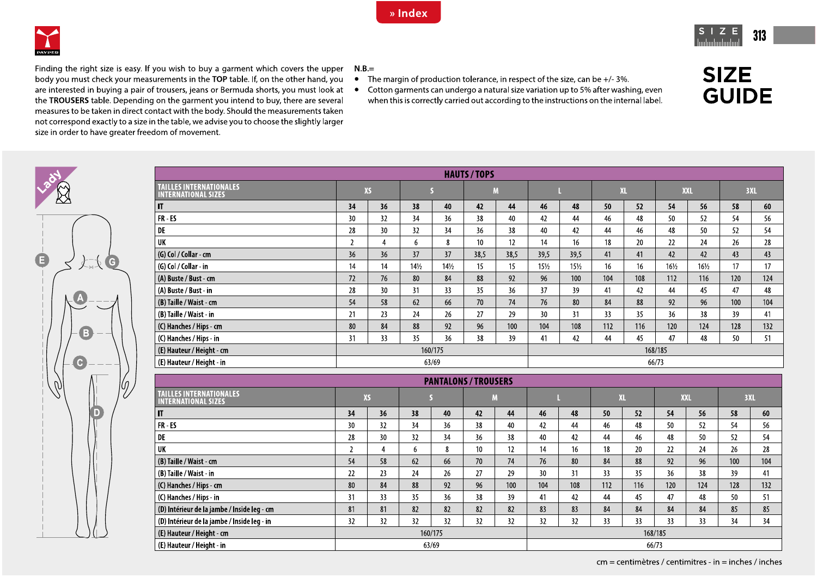» Index



Finding the right size is easy. If you wish to buy a garment which covers the upper body you must check your measurements in the TOP table. If, on the other hand, you are interested in buying a pair of trousers, jeans or Bermuda shorts, you must look at the TROUSERS table. Depending on the garment you intend to buy, there are several measures to be taken in direct contact with the body. Should the measurements taken not correspond exactly to a size in the table, we advise you to choose the slightly larger size in order to have greater freedom of movement.

 $N.B.=$ 

• The margin of production tolerance, in respect of the size, can be  $+/-3\%$ .





313



| <b>AILLES INTERNATIONALES</b><br><b>NTERNATIONAL SIZES</b> | <b>XS</b> |                 |                 |       | M               |      |                 |        | XL  |     | <b>XXL</b>      |                 | 3XL |     |  |
|------------------------------------------------------------|-----------|-----------------|-----------------|-------|-----------------|------|-----------------|--------|-----|-----|-----------------|-----------------|-----|-----|--|
|                                                            | 34        | 36              | 38              | 40    | 42              | 44   | 46              | 48     | 50  | 52  | 54              | 56              | 58  | 60  |  |
| R - ES                                                     | 30        | 32              | 34              | 36    | 38              | 40   | 42              | 44     | 46  | 48  | 50              | 52              | 54  | 56  |  |
| E                                                          | 28        | 30 <sup>°</sup> | 32              | 34    | 36              | 38   | 40              | 42     | 44  | 46  | 48              | 50              | 52  | 54  |  |
| K                                                          | 2         | 4               | 6               | 8     | 10              | 12   | 14              | 16     | 18  | 20  | 22              | 24              | 26  | 28  |  |
| G) Col / Collar - cm                                       | 36        | 36              | 37              | 37    | 38,5            | 38,5 | 39,5            | 39,5   | 41  | 41  | 42              | 42              | 43  | 43  |  |
| G) Col / Collar - in                                       | 14        | 14              | $14\frac{1}{2}$ | 14%   | 15              | 15   | $15\frac{1}{2}$ | $15\%$ | 16  | 16  | $16\frac{1}{2}$ | $16\frac{1}{2}$ | 17  | 17  |  |
| A) Buste / Bust - cm                                       | 72        | 76              | 80              | 84    | 88              | 92   | 96              | 100    | 104 | 108 | 112             | 116             | 120 | 124 |  |
| A) Buste / Bust - in                                       | 28        | 30 <sup>°</sup> | 31              | 33    | 35 <sub>2</sub> | 36   | 37              | 39     | 41  | 42  | 44              | 45              | 47  | 48  |  |
| B) Taille / Waist - cm                                     | 54        | 58              | 62              | 66    | 70              | 74   | 76              | 80     | 84  | 88  | 92              | 96              | 100 | 104 |  |
| B) Taille / Waist - in                                     | 21        | 23              | 24              | 26    | 27              | 29   | 30              | 31     | 33  | 35  | 36              | 38              | 39  | 41  |  |
| C) Hanches / Hips - cm                                     | 80        | 84              | 88              | 92    | 96              | 100  | 104             | 108    | 112 | 116 | 120             | 124             | 128 | 132 |  |
| C) Hanches / Hips - in                                     | 31        | 33              | 35              | 36    | 38              | 39   | 41              | 42     | 44  | 45  | 47              | 48              | 50  | 51  |  |
| E) Hauteur / Height - cm                                   | 160/175   |                 |                 |       |                 |      | 168/185         |        |     |     |                 |                 |     |     |  |
| E) Hauteur / Height - in                                   |           |                 |                 | 63/69 |                 |      | 66/73           |        |     |     |                 |                 |     |     |  |

| <b>PANTALONS / TROUSERS</b>                                  |           |    |    |    |    |                   |         |     |     |     |            |     |     |     |
|--------------------------------------------------------------|-----------|----|----|----|----|-------------------|---------|-----|-----|-----|------------|-----|-----|-----|
| <b>TAILLES INTERNATIONALES</b><br><b>INTERNATIONAL SIZES</b> | <b>XS</b> |    |    |    | M  |                   |         |     | XL  |     | <b>XXL</b> |     |     | 3XL |
| IT                                                           | 34        | 36 | 38 | 40 | 42 | 44                | 46      | 48  | 50  | 52  | 54         | 56  | 58  | 60  |
| FR-ES                                                        | 30        | 32 | 34 | 36 | 38 | 40                | 42      | 44  | 46  | 48  | 50         | 52  | 54  | 56  |
| DE                                                           | 28        | 30 | 32 | 34 | 36 | 38                | 40      | 42  | 44  | 46  | 48         | 50  | 52  | 54  |
| UK                                                           | L         |    | 6  | 8  | 10 | $12 \overline{ }$ | 14      | 16  | 18  | 20  | 22         | 24  | 26  | 28  |
| (B) Taille / Waist - cm                                      | 54        | 58 | 62 | 66 | 70 | 74                | 76      | 80  | 84  | 88  | 92         | 96  | 100 | 104 |
| (B) Taille / Waist - in                                      | 22        | 23 | 24 | 26 | 27 | 29                | 30      | 31  | 33  | 35  | 36         | 38  | 39  | 41  |
| (C) Hanches / Hips - cm                                      | 80        | 84 | 88 | 92 | 96 | 100               | 104     | 108 | 112 | 116 | 120        | 124 | 128 | 132 |
| (C) Hanches / Hips - in                                      | 31        | 33 | 35 | 36 | 38 | 39                | 41      | 42  | 44  | 45  | 47         | 48  | 50  | 51  |
| (D) Intérieur de la jambe / Inside leg - cm                  | 81        | 81 | 82 | 82 | 82 | 82                | 83      | 83  | 84  | 84  | 84         | 84  | 85  | 85  |
| (D) Intérieur de la jambe / Inside leg - in                  | 32        | 32 | 32 | 32 | 32 | 32                | 32      | 32  | 33  | 33  | 33         | 33  | 34  | 34  |
| (E) Hauteur / Height - cm                                    | 160/175   |    |    |    |    |                   | 168/185 |     |     |     |            |     |     |     |
| (E) Hauteur / Height - in                                    | 63/69     |    |    |    |    |                   | 66/73   |     |     |     |            |     |     |     |

 $cm = centimètres / centimitres - in = inches / inches$